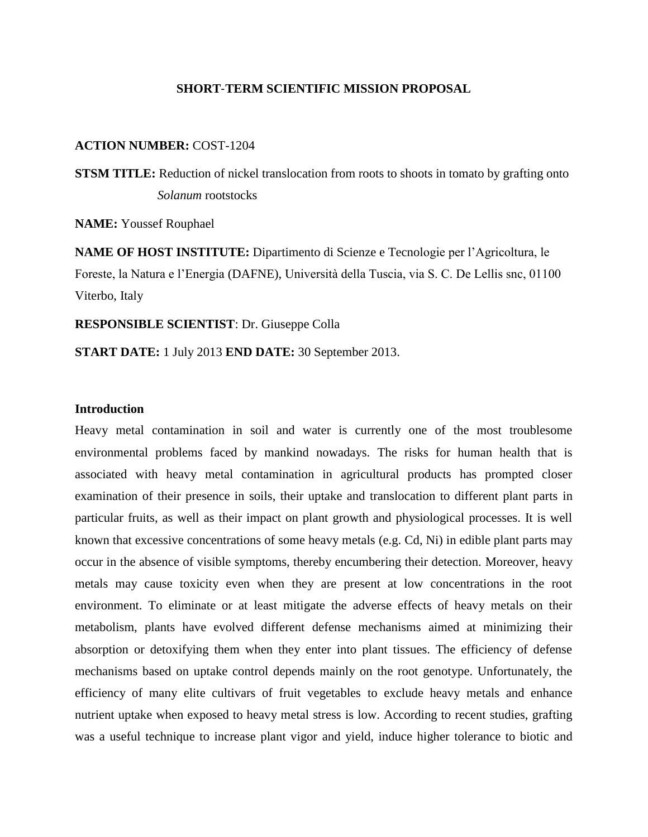## **SHORT**‐**TERM SCIENTIFIC MISSION PROPOSAL**

## **ACTION NUMBER:** COST-1204

**STSM TITLE:** Reduction of nickel translocation from roots to shoots in tomato by grafting onto *Solanum* rootstocks

**NAME:** Youssef Rouphael

**NAME OF HOST INSTITUTE:** Dipartimento di Scienze e Tecnologie per l'Agricoltura, le Foreste, la Natura e l'Energia (DAFNE), Università della Tuscia, via S. C. De Lellis snc, 01100 Viterbo, Italy

**RESPONSIBLE SCIENTIST**: Dr. Giuseppe Colla

**START DATE:** 1 July 2013 **END DATE:** 30 September 2013.

## **Introduction**

Heavy metal contamination in soil and water is currently one of the most troublesome environmental problems faced by mankind nowadays. The risks for human health that is associated with heavy metal contamination in agricultural products has prompted closer examination of their presence in soils, their uptake and translocation to different plant parts in particular fruits, as well as their impact on plant growth and physiological processes. It is well known that excessive concentrations of some heavy metals (e.g. Cd, Ni) in edible plant parts may occur in the absence of visible symptoms, thereby encumbering their detection. Moreover, heavy metals may cause toxicity even when they are present at low concentrations in the root environment. To eliminate or at least mitigate the adverse effects of heavy metals on their metabolism, plants have evolved different defense mechanisms aimed at minimizing their absorption or detoxifying them when they enter into plant tissues. The efficiency of defense mechanisms based on uptake control depends mainly on the root genotype. Unfortunately, the efficiency of many elite cultivars of fruit vegetables to exclude heavy metals and enhance nutrient uptake when exposed to heavy metal stress is low. According to recent studies, grafting was a useful technique to increase plant vigor and yield, induce higher tolerance to biotic and